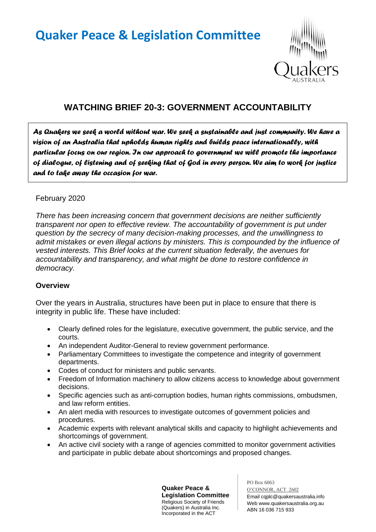# **Quaker Peace & Legislation Committee**



# **WATCHING BRIEF 20-3: GOVERNMENT ACCOUNTABILITY**

*As Quakers we seek a world without war. We seek a sustainable and just community. We have a vision of an Australia that upholds human rights and builds peace internationally, with particular focus on our region. In our approach to government we will promote the importance of dialogue, of listening and of seeking that of God in every person. We aim to work for justice and to take away the occasion for war.* 

#### February 2020

*There has been increasing concern that government decisions are neither sufficiently transparent nor open to effective review. The accountability of government is put under question by the secrecy of many decision-making processes, and the unwillingness to admit mistakes or even illegal actions by ministers. This is compounded by the influence of vested interests. This Brief looks at the current situation federally, the avenues for accountability and transparency, and what might be done to restore confidence in democracy.*

## **Overview**

Over the years in Australia, structures have been put in place to ensure that there is integrity in public life. These have included:

- Clearly defined roles for the legislature, executive government, the public service, and the courts.
- An independent Auditor-General to review government performance.
- Parliamentary Committees to investigate the competence and integrity of government departments.
- Codes of conduct for ministers and public servants.
- Freedom of Information machinery to allow citizens access to knowledge about government decisions.
- Specific agencies such as anti-corruption bodies, human rights commissions, ombudsmen, and law reform entities.
- An alert media with resources to investigate outcomes of government policies and procedures.
- Academic experts with relevant analytical skills and capacity to highlight achievements and shortcomings of government.
- An active civil society with a range of agencies committed to monitor government activities and participate in public debate about shortcomings and proposed changes.

**Quaker Peace & Legislation Committee** Religious Society of Friends (Quakers) in Australia Inc. Incorporated in the ACT

PO Box 6063 O'CONNOR, ACT 2602 Email cqplc@quakersaustralia.info Web www.quakersaustralia.org.au ABN 16 036 715 933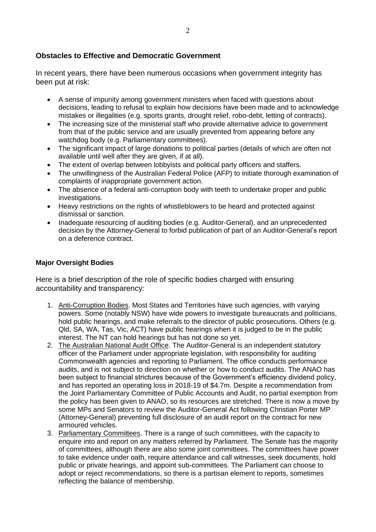# **Obstacles to Effective and Democratic Government**

In recent years, there have been numerous occasions when government integrity has been put at risk:

- A sense of impunity among government ministers when faced with questions about decisions, leading to refusal to explain how decisions have been made and to acknowledge mistakes or illegalities (e.g. sports grants, drought relief, robo-debt, letting of contracts).
- The increasing size of the ministerial staff who provide alternative advice to government from that of the public service and are usually prevented from appearing before any watchdog body (e.g. Parliamentary committees).
- The significant impact of large donations to political parties (details of which are often not available until well after they are given, if at all).
- The extent of overlap between lobbyists and political party officers and staffers.
- The unwillingness of the Australian Federal Police (AFP) to initiate thorough examination of complaints of inappropriate government action.
- The absence of a federal anti-corruption body with teeth to undertake proper and public investigations.
- Heavy restrictions on the rights of whistleblowers to be heard and protected against dismissal or sanction.
- Inadequate resourcing of auditing bodies (e.g. Auditor-General), and an unprecedented decision by the Attorney-General to forbid publication of part of an Auditor-General's report on a deference contract.

#### **Major Oversight Bodies**

Here is a brief description of the role of specific bodies charged with ensuring accountability and transparency:

- 1. Anti-Corruption Bodies. Most States and Territories have such agencies, with varying powers. Some (notably NSW) have wide powers to investigate bureaucrats and politicians, hold public hearings, and make referrals to the director of public prosecutions. Others (e.g. Qld, SA, WA, Tas, Vic, ACT) have public hearings when it is judged to be in the public interest. The NT can hold hearings but has not done so yet.
- 2. The Australian National Audit Office. The Auditor-General is an independent statutory officer of the Parliament under appropriate legislation, with responsibility for auditing Commonwealth agencies and reporting to Parliament. The office conducts performance audits, and is not subject to direction on whether or how to conduct audits. The ANAO has been subject to financial strictures because of the Government's efficiency dividend policy, and has reported an operating loss in 2018-19 of \$4.7m. Despite a recommendation from the Joint Parliamentary Committee of Public Accounts and Audit, no partial exemption from the policy has been given to ANAO, so its resources are stretched. There is now a move by some MPs and Senators to review the Auditor-General Act following Christian Porter MP (Attorney-General) preventing full disclosure of an audit report on the contract for new armoured vehicles.
- 3. Parliamentary Committees. There is a range of such committees, with the capacity to enquire into and report on any matters referred by Parliament. The Senate has the majority of committees, although there are also some joint committees. The committees have power to take evidence under oath, require attendance and call witnesses, seek documents, hold public or private hearings, and appoint sub-committees. The Parliament can choose to adopt or reject recommendations, so there is a partisan element to reports, sometimes reflecting the balance of membership.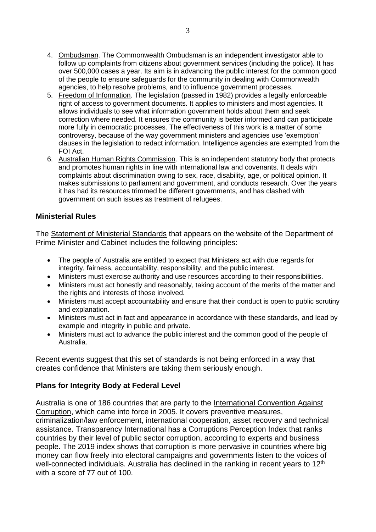- 4. Ombudsman. The Commonwealth Ombudsman is an independent investigator able to follow up complaints from citizens about government services (including the police). It has over 500,000 cases a year. Its aim is in advancing the public interest for the common good of the people to ensure safeguards for the community in dealing with Commonwealth agencies, to help resolve problems, and to influence government processes.
- 5. Freedom of Information. The legislation (passed in 1982) provides a legally enforceable right of access to government documents. It applies to ministers and most agencies. It allows individuals to see what information government holds about them and seek correction where needed. It ensures the community is better informed and can participate more fully in democratic processes. The effectiveness of this work is a matter of some controversy, because of the way government ministers and agencies use 'exemption' clauses in the legislation to redact information. Intelligence agencies are exempted from the FOI Act.
- 6. Australian Human Rights Commission. This is an independent statutory body that protects and promotes human rights in line with international law and covenants. It deals with complaints about discrimination owing to sex, race, disability, age, or political opinion. It makes submissions to parliament and government, and conducts research. Over the years it has had its resources trimmed be different governments, and has clashed with government on such issues as treatment of refugees.

# **Ministerial Rules**

The Statement of Ministerial Standards that appears on the website of the Department of Prime Minister and Cabinet includes the following principles:

- The people of Australia are entitled to expect that Ministers act with due regards for integrity, fairness, accountability, responsibility, and the public interest.
- Ministers must exercise authority and use resources according to their responsibilities.
- Ministers must act honestly and reasonably, taking account of the merits of the matter and the rights and interests of those involved.
- Ministers must accept accountability and ensure that their conduct is open to public scrutiny and explanation.
- Ministers must act in fact and appearance in accordance with these standards, and lead by example and integrity in public and private.
- Ministers must act to advance the public interest and the common good of the people of Australia.

Recent events suggest that this set of standards is not being enforced in a way that creates confidence that Ministers are taking them seriously enough.

## **Plans for Integrity Body at Federal Level**

Australia is one of 186 countries that are party to the International Convention Against Corruption, which came into force in 2005. It covers preventive measures, criminalization/law enforcement, international cooperation, asset recovery and technical assistance. Transparency International has a Corruptions Perception Index that ranks countries by their level of public sector corruption, according to experts and business people. The 2019 index shows that corruption is more pervasive in countries where big money can flow freely into electoral campaigns and governments listen to the voices of well-connected individuals. Australia has declined in the ranking in recent years to 12<sup>th</sup> with a score of 77 out of 100.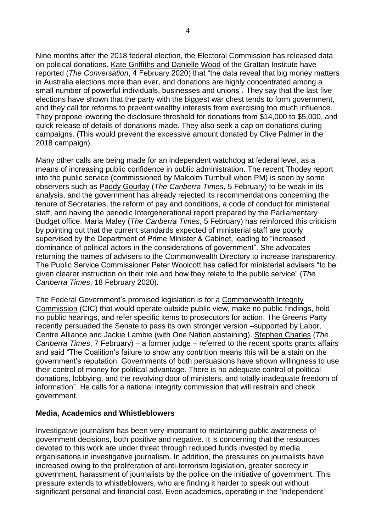Nine months after the 2018 federal election, the Electoral Commission has released data on political donations. Kate Griffiths and Danielle Wood of the Grattan Institute have reported (*The Conversation*, 4 February 2020) that "the data reveal that big money matters in Australia elections more than ever, and donations are highly concentrated among a small number of powerful individuals, businesses and unions". They say that the last five elections have shown that the party with the biggest war chest tends to form government, and they call for reforms to prevent wealthy interests from exercising too much influence. They propose lowering the disclosure threshold for donations from \$14,000 to \$5,000, and quick release of details of donations made. They also seek a cap on donations during campaigns. (This would prevent the excessive amount donated by Clive Palmer in the 2018 campaign).

Many other calls are being made for an independent watchdog at federal level, as a means of increasing public confidence in public administration. The recent Thodey report into the public service (commissioned by Malcolm Turnbull when PM) is seen by some observers such as Paddy Gourlay (*The Canberra Times*, 5 February) to be weak in its analysis, and the government has already rejected its recommendations concerning the tenure of Secretaries, the reform of pay and conditions, a code of conduct for ministerial staff, and having the periodic Intergenerational report prepared by the Parliamentary Budget office. Maria Maley (*The Canberra Times*, 5 February) has reinforced this criticism by pointing out that the current standards expected of ministerial staff are poorly supervised by the Department of Prime Minister & Cabinet, leading to "increased dominance of political actors in the considerations of government". She advocates returning the names of advisers to the Commonwealth Directory to increase transparency. The Public Service Commissioner Peter Woolcott has called for ministerial advisers "to be given clearer instruction on their role and how they relate to the public service" (*The Canberra Times*, 18 February 2020).

The Federal Government's promised legislation is for a Commonwealth Integrity Commission (CIC) that would operate outside public view, make no public findings, hold no public hearings, and refer specific items to prosecutors for action. The Greens Party recently persuaded the Senate to pass its own stronger version –supported by Labor, Centre Alliance and Jackie Lambie (with One Nation abstaining). Stephen Charles (*The Canberra Times*, 7 February) – a former judge – referred to the recent sports grants affairs and said "The Coalition's failure to show any contrition means this will be a stain on the government's reputation. Governments of both persuasions have shown willingness to use their control of money for political advantage. There is no adequate control of political donations, lobbying, and the revolving door of ministers, and totally inadequate freedom of information". He calls for a national integrity commission that will restrain and check government.

## **Media, Academics and Whistleblowers**

Investigative journalism has been very important to maintaining public awareness of government decisions, both positive and negative. It is concerning that the resources devoted to this work are under threat through reduced funds invested by media organisations in investigative journalism. In addition, the pressures on journalists have increased owing to the proliferation of anti-terrorism legislation, greater secrecy in government, harassment of journalists by the police on the initiative of government. This pressure extends to whistleblowers, who are finding it harder to speak out without significant personal and financial cost. Even academics, operating in the 'independent'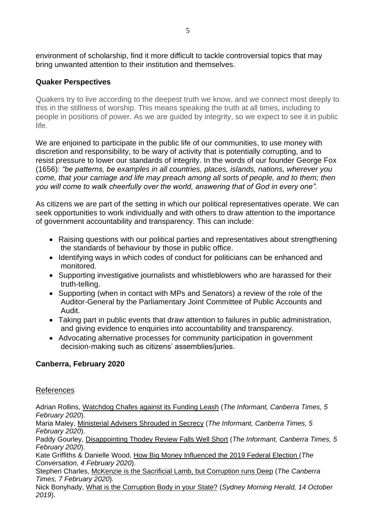environment of scholarship, find it more difficult to tackle controversial topics that may bring unwanted attention to their institution and themselves.

# **Quaker Perspectives**

Quakers try to live according to the deepest truth we know, and we connect most deeply to this in the stillness of worship. This means speaking the truth at all times, including to people in positions of power. As we are guided by integrity, so we expect to see it in public life.

We are enjoined to participate in the public life of our communities, to use money with discretion and responsibility, to be wary of activity that is potentially corrupting, and to resist pressure to lower our standards of integrity. In the words of our founder George Fox (1656): *"be patterns, be examples in all countries, places, islands, nations, wherever you come, that your carriage and life may preach among all sorts of people, and to them; then you will come to walk cheerfully over the world, answering that of God in every one".*

As citizens we are part of the setting in which our political representatives operate. We can seek opportunities to work individually and with others to draw attention to the importance of government accountability and transparency. This can include:

- Raising questions with our political parties and representatives about strengthening the standards of behaviour by those in public office.
- Identifying ways in which codes of conduct for politicians can be enhanced and monitored.
- Supporting investigative journalists and whistleblowers who are harassed for their truth-telling.
- Supporting (when in contact with MPs and Senators) a review of the role of the Auditor-General by the Parliamentary Joint Committee of Public Accounts and Audit.
- Taking part in public events that draw attention to failures in public administration, and giving evidence to enquiries into accountability and transparency.
- Advocating alternative processes for community participation in government decision-making such as citizens' assemblies/juries.

# **Canberra, February 2020**

## References

Adrian Rollins, Watchdog Chafes against its Funding Leash (*The Informant, Canberra Times, 5 February 2020*).

Maria Maley, Ministerial Advisers Shrouded in Secrecy (*The Informant, Canberra Times, 5 February 2020*).

Paddy Gourley, Disappointing Thodey Review Falls Well Short (*The Informant, Canberra Times, 5 February 2020*).

Kate Griffiths & Danielle Wood, How Big Money Influenced the 2019 Federal Election (*The Conversation, 4 February 2020*).

Stephen Charles, McKenzie is the Sacrificial Lamb, but Corruption runs Deep (*The Canberra Times, 7 February 2020*).

Nick Bonyhady, What is the Corruption Body in your State? (*Sydney Morning Herald, 14 October 2019*).